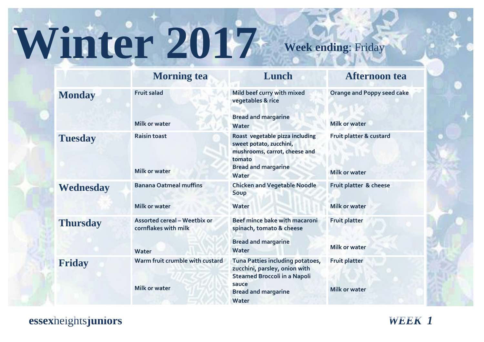**Week ending**: Friday

|                 | <b>Morning tea</b>                                          | Lunch                                                                                                                                        | <b>Afternoon</b> tea                            |
|-----------------|-------------------------------------------------------------|----------------------------------------------------------------------------------------------------------------------------------------------|-------------------------------------------------|
| <b>Monday</b>   | <b>Fruit salad</b>                                          | Mild beef curry with mixed<br>vegetables & rice                                                                                              | <b>Orange and Poppy seed cake</b>               |
|                 | Milk or water                                               | <b>Bread and margarine</b><br>Water                                                                                                          | <b>Milk or water</b>                            |
| <b>Tuesday</b>  | <b>Raisin toast</b><br><b>Milk or water</b>                 | Roast vegetable pizza including<br>sweet potato, zucchini,<br>mushrooms, carrot, cheese and<br>tomato<br><b>Bread and margarine</b><br>Water | Fruit platter & custard<br><b>Milk or water</b> |
| Wednesday       | <b>Banana Oatmeal muffins</b>                               | <b>Chicken and Vegetable Noodle</b><br>Soup                                                                                                  | Fruit platter & cheese                          |
|                 | Milk or water                                               | Water                                                                                                                                        | <b>Milk or water</b>                            |
| <b>Thursday</b> | <b>Assorted cereal - Weetbix or</b><br>cornflakes with milk | Beef mince bake with macaroni<br>spinach, tomato & cheese                                                                                    | <b>Fruit platter</b>                            |
|                 | Water                                                       | <b>Bread and margarine</b><br>Water                                                                                                          | <b>Milk or water</b>                            |
| <b>Friday</b>   | Warm fruit crumble with custard                             | Tuna Patties including potatoes,<br>zucchini, parsley, onion with<br><b>Steamed Broccoli in a Napoli</b>                                     | <b>Fruit platter</b>                            |
|                 | <b>Milk or water</b>                                        | sauce<br><b>Bread and margarine</b><br>Water                                                                                                 | Milk or water                                   |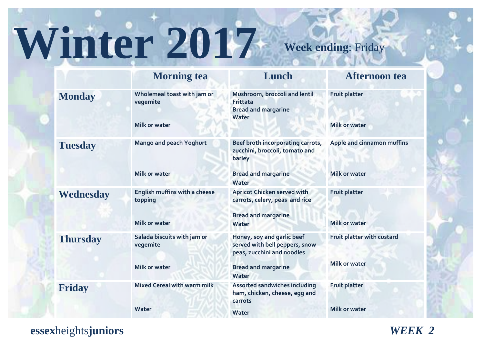**Week ending**: Friday

|                  | <b>Morning tea</b>                       | Lunch                                                                                      | <b>Afternoon</b> tea       |
|------------------|------------------------------------------|--------------------------------------------------------------------------------------------|----------------------------|
| <b>Monday</b>    | Wholemeal toast with jam or<br>vegemite  | Mushroom, broccoli and lentil<br>Frittata<br><b>Bread and margarine</b><br>Water           | <b>Fruit platter</b>       |
|                  | <b>Milk or water</b>                     |                                                                                            | <b>Milk or water</b>       |
| <b>Tuesday</b>   | <b>Mango and peach Yoghurt</b>           | Beef broth incorporating carrots,<br>zucchini, broccoli, tomato and<br>barley              | Apple and cinnamon muffins |
|                  | <b>Milk or water</b>                     | <b>Bread and margarine</b><br>Water                                                        | <b>Milk or water</b>       |
| <b>Wednesday</b> | English muffins with a cheese<br>topping | <b>Apricot Chicken served with</b><br>carrots, celery, peas and rice                       | <b>Fruit platter</b>       |
|                  | <b>Milk or water</b>                     | <b>Bread and margarine</b><br>Water                                                        | <b>Milk or water</b>       |
| <b>Thursday</b>  | Salada biscuits with jam or<br>vegemite  | Honey, soy and garlic beef<br>served with bell peppers, snow<br>peas, zucchini and noodles | Fruit platter with custard |
|                  | <b>Milk or water</b>                     | <b>Bread and margarine</b><br>Water                                                        | <b>Milk or water</b>       |
| Friday           | <b>Mixed Cereal with warm milk</b>       | Assorted sandwiches including<br>ham, chicken, cheese, egg and<br>carrots                  | <b>Fruit platter</b>       |
|                  | Water                                    | Water                                                                                      | <b>Milk or water</b>       |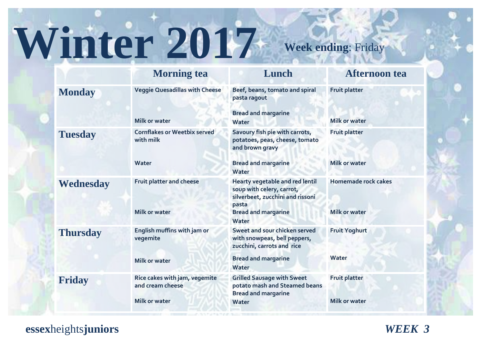**Week ending**: Friday

|                 | <b>Morning tea</b>                                | Lunch                                                                                                     | <b>Afternoon</b> tea |
|-----------------|---------------------------------------------------|-----------------------------------------------------------------------------------------------------------|----------------------|
| <b>Monday</b>   | <b>Veggie Quesadillas with Cheese</b>             | Beef, beans, tomato and spiral<br>pasta ragout                                                            | <b>Fruit platter</b> |
|                 | <b>Milk or water</b>                              | <b>Bread and margarine</b><br>Water                                                                       | <b>Milk or water</b> |
| <b>Tuesday</b>  | <b>Cornflakes or Weetbix served</b><br>with milk  | Savoury fish pie with carrots,<br>potatoes, peas, cheese, tomato<br>and brown gravy                       | <b>Fruit platter</b> |
|                 | Water                                             | <b>Bread and margarine</b><br>Water                                                                       | <b>Milk or water</b> |
| Wednesday       | <b>Fruit platter and cheese</b>                   | Hearty vegetable and red lentil<br>soup with celery, carrot,<br>silverbeet, zucchini and rissoni<br>pasta | Homemade rock cakes  |
|                 | Milk or water                                     | <b>Bread and margarine</b><br>Water                                                                       | Milk or water        |
| <b>Thursday</b> | English muffins with jam or<br>vegemite           | Sweet and sour chicken served<br>with snowpeas, bell peppers,<br>zucchini, carrots and rice               | <b>Fruit Yoghurt</b> |
|                 | Milk or water                                     | <b>Bread and margarine</b><br>Water                                                                       | Water                |
| <b>Friday</b>   | Rice cakes with jam, vegemite<br>and cream cheese | <b>Grilled Sausage with Sweet</b><br>potato mash and Steamed beans<br><b>Bread and margarine</b>          | <b>Fruit platter</b> |
|                 | <b>Milk or water</b>                              | Water                                                                                                     | <b>Milk or water</b> |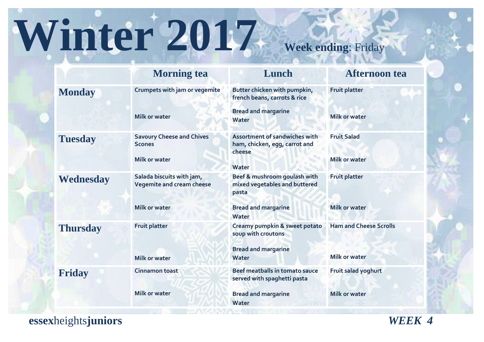**Week ending**: Friday

|                 | <b>Morning tea</b>                                            | Lunch                                                                    | <b>Afternoon</b> tea          |
|-----------------|---------------------------------------------------------------|--------------------------------------------------------------------------|-------------------------------|
| <b>Monday</b>   | Crumpets with jam or vegemite                                 | Butter chicken with pumpkin,<br>french beans, carrots & rice             | <b>Fruit platter</b>          |
|                 | Milk or water                                                 | <b>Bread and margarine</b><br>Water                                      | Milk or water                 |
| <b>Tuesday</b>  | <b>Savoury Cheese and Chives</b><br><b>Scones</b>             | Assortment of sandwiches with<br>ham, chicken, egg, carrot and<br>cheese | <b>Fruit Salad</b>            |
|                 | <b>Milk or water</b>                                          | Water                                                                    | <b>Milk or water</b>          |
| Wednesday       | Salada biscuits with jam,<br><b>Vegemite and cream cheese</b> | Beef & mushroom goulash with<br>mixed vegetables and buttered<br>pasta   | <b>Fruit platter</b>          |
|                 | <b>Milk or water</b>                                          | <b>Bread and margarine</b><br>Water                                      | <b>Milk or water</b>          |
| <b>Thursday</b> | <b>Fruit platter</b>                                          | Creamy pumpkin & sweet potato<br>soup with croutons                      | <b>Ham and Cheese Scrolls</b> |
|                 | Milk or water                                                 | <b>Bread and margarine</b><br>Water                                      | <b>Milk or water</b>          |
| <b>Friday</b>   | <b>Cinnamon toast</b>                                         | Beef meatballs in tomato sauce<br>served with spaghetti pasta            | Fruit salad yoghurt           |
|                 | <b>Milk or water</b>                                          | <b>Bread and margarine</b><br>Water                                      | <b>Milk or water</b>          |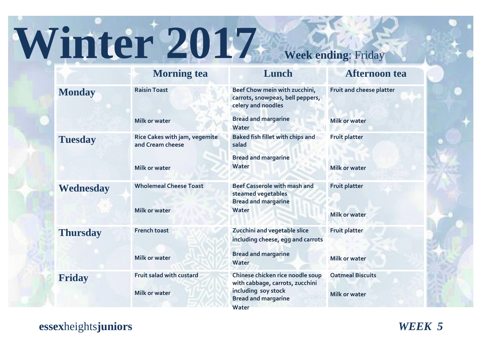**Week ending**: Friday

|                 | <b>Morning tea</b>                                | Lunch                                                                                   | <b>Afternoon</b> tea     |
|-----------------|---------------------------------------------------|-----------------------------------------------------------------------------------------|--------------------------|
| <b>Monday</b>   | <b>Raisin Toast</b>                               | Beef Chow mein with zucchini,<br>carrots, snowpeas, bell peppers,<br>celery and noodles | Fruit and cheese platter |
|                 | <b>Milk or water</b>                              | <b>Bread and margarine</b><br>Water                                                     | <b>Milk or water</b>     |
| <b>Tuesday</b>  | Rice Cakes with jam, vegemite<br>and Cream cheese | Baked fish fillet with chips and<br>salad                                               | <b>Fruit platter</b>     |
|                 | <b>Milk or water</b>                              | <b>Bread and margarine</b><br>Water                                                     | <b>Milk or water</b>     |
| Wednesday       | <b>Wholemeal Cheese Toast</b>                     | <b>Beef Casserole with mash and</b><br>steamed vegetables<br><b>Bread and margarine</b> | <b>Fruit platter</b>     |
|                 | <b>Milk or water</b>                              | Water                                                                                   | <b>Milk or water</b>     |
| <b>Thursday</b> | <b>French toast</b>                               | Zucchini and vegetable slice<br>including cheese, egg and carrots                       | <b>Fruit platter</b>     |
|                 | <b>Milk or water</b>                              | <b>Bread and margarine</b><br>Water                                                     | <b>Milk or water</b>     |
| Friday          | <b>Fruit salad with custard</b>                   | Chinese chicken rice noodle soup<br>with cabbage, carrots, zucchini                     | <b>Oatmeal Biscuits</b>  |
|                 | <b>Milk or water</b>                              | including soy stock<br><b>Bread and margarine</b><br>Water                              | <b>Milk or water</b>     |